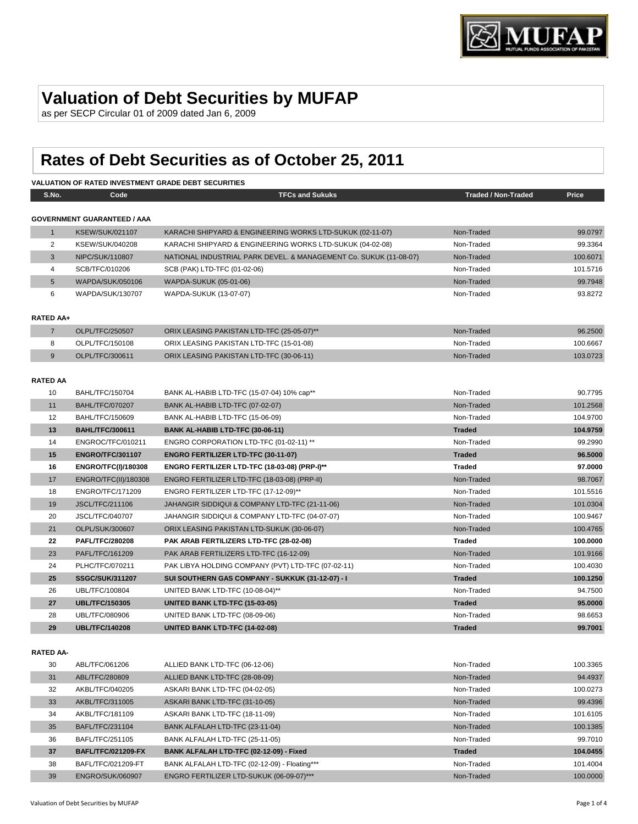

# **Valuation of Debt Securities by MUFAP**

as per SECP Circular 01 of 2009 dated Jan 6, 2009

# **Rates of Debt Securities as of October 25, 2011**

#### **VALUATION OF RATED INVESTMENT GRADE DEBT SECURITIES**

| S.No.            | Code                               | <b>TFCs and Sukuks</b>                                            | <b>Traded / Non-Traded</b> | Price    |
|------------------|------------------------------------|-------------------------------------------------------------------|----------------------------|----------|
|                  |                                    |                                                                   |                            |          |
|                  | <b>GOVERNMENT GUARANTEED / AAA</b> |                                                                   |                            |          |
| 1                | <b>KSEW/SUK/021107</b>             | KARACHI SHIPYARD & ENGINEERING WORKS LTD-SUKUK (02-11-07)         | Non-Traded                 | 99.0797  |
| 2                | KSEW/SUK/040208                    | KARACHI SHIPYARD & ENGINEERING WORKS LTD-SUKUK (04-02-08)         | Non-Traded                 | 99.3364  |
| 3                | NIPC/SUK/110807                    | NATIONAL INDUSTRIAL PARK DEVEL. & MANAGEMENT Co. SUKUK (11-08-07) | Non-Traded                 | 100.6071 |
| 4                | SCB/TFC/010206                     | SCB (PAK) LTD-TFC (01-02-06)                                      | Non-Traded                 | 101.5716 |
| 5                | WAPDA/SUK/050106                   | WAPDA-SUKUK (05-01-06)                                            | Non-Traded                 | 99.7948  |
| 6                | WAPDA/SUK/130707                   | WAPDA-SUKUK (13-07-07)                                            | Non-Traded                 | 93.8272  |
|                  |                                    |                                                                   |                            |          |
| <b>RATED AA+</b> |                                    |                                                                   |                            |          |
| $7\overline{ }$  | OLPL/TFC/250507                    | ORIX LEASING PAKISTAN LTD-TFC (25-05-07)**                        | Non-Traded                 | 96.2500  |
| 8                | OLPL/TFC/150108                    | ORIX LEASING PAKISTAN LTD-TFC (15-01-08)                          | Non-Traded                 | 100.6667 |
| 9                | OLPL/TFC/300611                    | ORIX LEASING PAKISTAN LTD-TFC (30-06-11)                          | Non-Traded                 | 103.0723 |
|                  |                                    |                                                                   |                            |          |
| <b>RATED AA</b>  |                                    |                                                                   |                            |          |
| 10               | BAHL/TFC/150704                    | BANK AL-HABIB LTD-TFC (15-07-04) 10% cap**                        | Non-Traded                 | 90.7795  |
| 11               | <b>BAHL/TFC/070207</b>             | BANK AL-HABIB LTD-TFC (07-02-07)                                  | Non-Traded                 | 101.2568 |
| 12               | BAHL/TFC/150609                    | BANK AL-HABIB LTD-TFC (15-06-09)                                  | Non-Traded                 | 104.9700 |
| 13               | <b>BAHL/TFC/300611</b>             | BANK AL-HABIB LTD-TFC (30-06-11)                                  | <b>Traded</b>              | 104.9759 |
| 14               | ENGROC/TFC/010211                  | ENGRO CORPORATION LTD-TFC (01-02-11) **                           | Non-Traded                 | 99.2990  |
| 15               | <b>ENGRO/TFC/301107</b>            | <b>ENGRO FERTILIZER LTD-TFC (30-11-07)</b>                        | <b>Traded</b>              | 96.5000  |
| 16               | <b>ENGRO/TFC(I)/180308</b>         | ENGRO FERTILIZER LTD-TFC (18-03-08) (PRP-I)**                     | <b>Traded</b>              | 97.0000  |
| 17               | ENGRO/TFC(II)/180308               | ENGRO FERTILIZER LTD-TFC (18-03-08) (PRP-II)                      | Non-Traded                 | 98.7067  |
| 18               | <b>ENGRO/TFC/171209</b>            | ENGRO FERTILIZER LTD-TFC (17-12-09)**                             | Non-Traded                 | 101.5516 |
| 19               | <b>JSCL/TFC/211106</b>             | JAHANGIR SIDDIQUI & COMPANY LTD-TFC (21-11-06)                    | Non-Traded                 | 101.0304 |
| 20               | <b>JSCL/TFC/040707</b>             | JAHANGIR SIDDIQUI & COMPANY LTD-TFC (04-07-07)                    | Non-Traded                 | 100.9467 |
| 21               | OLPL/SUK/300607                    | ORIX LEASING PAKISTAN LTD-SUKUK (30-06-07)                        | Non-Traded                 | 100.4765 |
| 22               | <b>PAFL/TFC/280208</b>             | PAK ARAB FERTILIZERS LTD-TFC (28-02-08)                           | <b>Traded</b>              | 100.0000 |
| 23               | PAFL/TFC/161209                    | PAK ARAB FERTILIZERS LTD-TFC (16-12-09)                           | Non-Traded                 | 101.9166 |
| 24               | PLHC/TFC/070211                    | PAK LIBYA HOLDING COMPANY (PVT) LTD-TFC (07-02-11)                | Non-Traded                 | 100.4030 |
| 25               | <b>SSGC/SUK/311207</b>             | SUI SOUTHERN GAS COMPANY - SUKKUK (31-12-07) - I                  | <b>Traded</b>              | 100.1250 |
| 26               | UBL/TFC/100804                     | UNITED BANK LTD-TFC (10-08-04)**                                  | Non-Traded                 | 94.7500  |
| 27               | <b>UBL/TFC/150305</b>              | UNITED BANK LTD-TFC (15-03-05)                                    | <b>Traded</b>              | 95.0000  |
| 28               | UBL/TFC/080906                     | UNITED BANK LTD-TFC (08-09-06)                                    | Non-Traded                 | 98.6653  |
| 29               | <b>UBL/TFC/140208</b>              | UNITED BANK LTD-TFC (14-02-08)                                    | <b>Traded</b>              | 99.7001  |
|                  |                                    |                                                                   |                            |          |

#### **RATED AA-**

| 30 | ABL/TFC/061206            | ALLIED BANK LTD-TFC (06-12-06)                | Non-Traded    | 100.3365 |
|----|---------------------------|-----------------------------------------------|---------------|----------|
| 31 | ABL/TFC/280809            | ALLIED BANK LTD-TFC (28-08-09)                | Non-Traded    | 94.4937  |
| 32 | AKBL/TFC/040205           | ASKARI BANK LTD-TFC (04-02-05)                | Non-Traded    | 100.0273 |
| 33 | AKBL/TFC/311005           | ASKARI BANK LTD-TFC (31-10-05)                | Non-Traded    | 99.4396  |
| 34 | AKBL/TFC/181109           | ASKARI BANK LTD-TFC (18-11-09)                | Non-Traded    | 101.6105 |
| 35 | BAFL/TFC/231104           | BANK ALFALAH LTD-TFC (23-11-04)               | Non-Traded    | 100.1385 |
| 36 | BAFL/TFC/251105           | BANK ALFALAH LTD-TFC (25-11-05)               | Non-Traded    | 99.7010  |
| 37 | <b>BAFL/TFC/021209-FX</b> | BANK ALFALAH LTD-TFC (02-12-09) - Fixed       | <b>Traded</b> | 104.0455 |
| 38 | BAFL/TFC/021209-FT        | BANK ALFALAH LTD-TFC (02-12-09) - Floating*** | Non-Traded    | 101.4004 |
| 39 | <b>ENGRO/SUK/060907</b>   | ENGRO FERTILIZER LTD-SUKUK (06-09-07)***      | Non-Traded    | 100,0000 |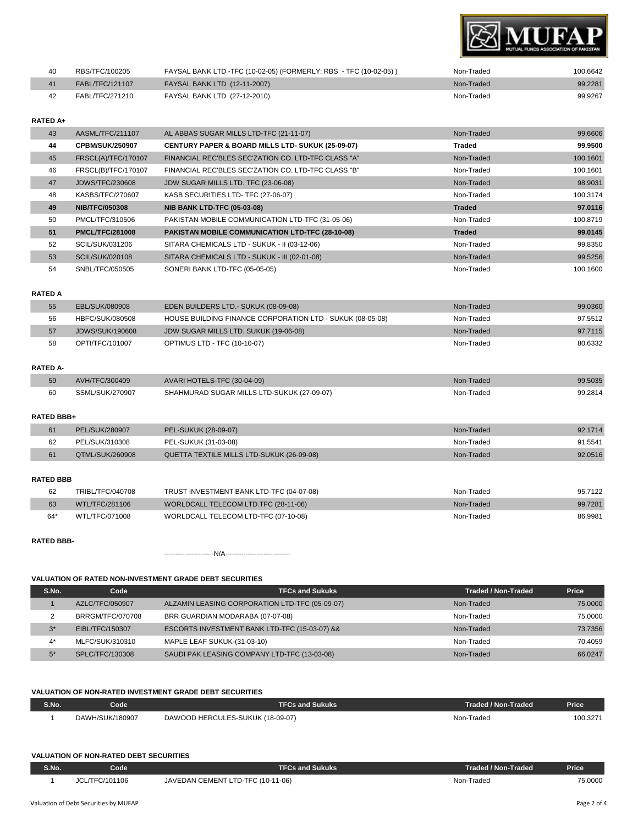

| 40 | RBS/TFC/100205  | FAYSAL BANK LTD -TFC (10-02-05) (FORMERLY: RBS - TFC (10-02-05)) | Non-Traded | 100.6642 |
|----|-----------------|------------------------------------------------------------------|------------|----------|
|    | FABL/TFC/121107 | <b>FAYSAL BANK LTD (12-11-2007)</b>                              | Non-Traded | 99.2281  |
|    | FABL/TFC/271210 | FAYSAL BANK LTD (27-12-2010)                                     | Non-Traded | 99.9267  |

#### **RATED A+**

| 43 | AASML/TFC/211107       | AL ABBAS SUGAR MILLS LTD-TFC (21-11-07)                      | Non-Traded    | 99.6606  |
|----|------------------------|--------------------------------------------------------------|---------------|----------|
| 44 | <b>CPBM/SUK/250907</b> | <b>CENTURY PAPER &amp; BOARD MILLS LTD- SUKUK (25-09-07)</b> | Traded        | 99.9500  |
| 45 | FRSCL(A)/TFC/170107    | FINANCIAL REC'BLES SEC'ZATION CO. LTD-TFC CLASS "A"          | Non-Traded    | 100.1601 |
| 46 | FRSCL(B)/TFC/170107    | FINANCIAL REC'BLES SEC'ZATION CO. LTD-TFC CLASS "B"          | Non-Traded    | 100.1601 |
| 47 | <b>JDWS/TFC/230608</b> | JDW SUGAR MILLS LTD. TFC (23-06-08)                          | Non-Traded    | 98.9031  |
| 48 | KASBS/TFC/270607       | KASB SECURITIES LTD- TFC (27-06-07)                          | Non-Traded    | 100.3174 |
| 49 | <b>NIB/TFC/050308</b>  | <b>NIB BANK LTD-TFC (05-03-08)</b>                           | <b>Traded</b> | 97.0116  |
|    |                        |                                                              |               |          |
| 50 | PMCL/TFC/310506        | PAKISTAN MOBILE COMMUNICATION LTD-TFC (31-05-06)             | Non-Traded    | 100.8719 |
| 51 | <b>PMCL/TFC/281008</b> | PAKISTAN MOBILE COMMUNICATION LTD-TFC (28-10-08)             | <b>Traded</b> | 99.0145  |
| 52 | SCIL/SUK/031206        | SITARA CHEMICALS LTD - SUKUK - II (03-12-06)                 | Non-Traded    | 99.8350  |
| 53 | SCIL/SUK/020108        | SITARA CHEMICALS LTD - SUKUK - III (02-01-08)                | Non-Traded    | 99.5256  |

#### **RATED A**

| 55 | EBL/SUK/080908  | <b>EDEN BUILDERS LTD.- SUKUK (08-09-08)</b>               | Non-Traded | 99.0360 |
|----|-----------------|-----------------------------------------------------------|------------|---------|
| 56 | HBFC/SUK/080508 | HOUSE BUILDING FINANCE CORPORATION LTD - SUKUK (08-05-08) | Non-Traded | 97.5512 |
| 57 | JDWS/SUK/190608 | JDW SUGAR MILLS LTD. SUKUK (19-06-08)                     | Non-Traded | 97.7115 |
| 58 | OPTI/TFC/101007 | <b>OPTIMUS LTD - TFC (10-10-07)</b>                       | Non-Traded | 80.6332 |

#### **RATED A-**

| 59 | AVH/TFC/300409  | AVARI HOTELS-TFC (30-04-09)                | Non-Traded | 99.5035 |
|----|-----------------|--------------------------------------------|------------|---------|
| 60 | SSML/SUK/270907 | SHAHMURAD SUGAR MILLS LTD-SUKUK (27-09-07) | Non-Traded | 99.2814 |

#### **RATED BBB+**

|    | PEL/SUK/280907             | PEL-SUKUK (28-09-07)                      | Non-Traded | 92.1714 |
|----|----------------------------|-------------------------------------------|------------|---------|
| 62 | L/SUK/310308<br><b>PFI</b> | PEL-SUKUK (31-03-08)                      | Non-Traded | 91.554  |
|    | QTML/SUK/260908            | QUETTA TEXTILE MILLS LTD-SUKUK (26-09-08) | Non-Traded | 92.0516 |

#### **RATED BBB**

| 62    | TRIBL/TFC/040708 | TRUST INVESTMENT BANK LTD-TFC (04-07-08) | Non-Traded | 95.7122 |
|-------|------------------|------------------------------------------|------------|---------|
| 63    | WTL/TFC/281106   | WORLDCALL TELECOM LTD.TFC (28-11-06)     | Non-Traded | 99.7281 |
| $64*$ | WTL/TFC/071008   | WORLDCALL TELECOM LTD-TFC (07-10-08)     | Non-Traded | 86.9981 |

### **RATED BBB-**

----------------------N/A-----------------------------

## **VALUATION OF RATED NON-INVESTMENT GRADE DEBT SECURITIES**

| S.No. | Code             | <b>TFCs and Sukuks</b>                         | <b>Traded / Non-Traded</b> | Price   |
|-------|------------------|------------------------------------------------|----------------------------|---------|
|       | AZLC/TFC/050907  | ALZAMIN LEASING CORPORATION LTD-TFC (05-09-07) | Non-Traded                 | 75,0000 |
|       | BRRGM/TFC/070708 | BRR GUARDIAN MODARABA (07-07-08)               | Non-Traded                 | 75,0000 |
| $3^*$ | EIBL/TFC/150307  | ESCORTS INVESTMENT BANK LTD-TFC (15-03-07) &&  | Non-Traded                 | 73.7356 |
| $4^*$ | MLFC/SUK/310310  | MAPLE LEAF SUKUK-(31-03-10)                    | Non-Traded                 | 70.4059 |
| $5*$  | SPLC/TFC/130308  | SAUDI PAK LEASING COMPANY LTD-TFC (13-03-08)   | Non-Traded                 | 66.0247 |

#### **VALUATION OF NON-RATED INVESTMENT GRADE DEBT SECURITIES**

| S.No. | Code'           | <b>FFCs and Sukuks</b>           | Traded / Non-Traded | <b>Price</b> |
|-------|-----------------|----------------------------------|---------------------|--------------|
|       | DAWH/SUK/180907 | DAWOOD HERCULES-SUKUK (18-09-07) | Non-Traded          | 100.3271     |

#### **VALUATION OF NON-RATED DEBT SECURITIES**

| <b>S.No.</b> | Code           | TFCs and Sukuks                   | Traded / Non-Traded | <b>Price</b> |
|--------------|----------------|-----------------------------------|---------------------|--------------|
|              | JCL/TFC/101106 | JAVEDAN CEMENT LTD-TFC (10-11-06) | Non-Traded          | 75.0000      |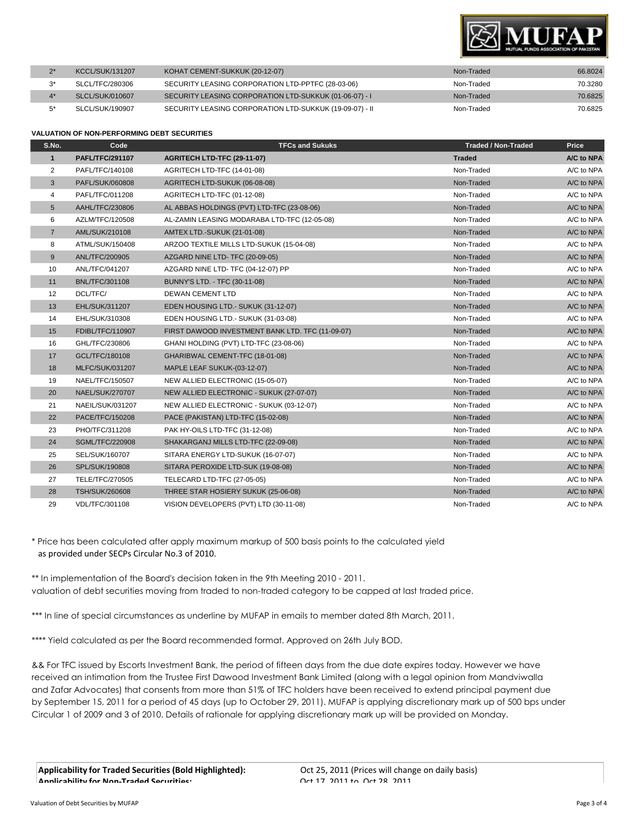

| <b>KCCL/SUK/131207</b> | KOHAT CEMENT-SUKKUK (20-12-07)                          | Non-Traded | 66.8024 |
|------------------------|---------------------------------------------------------|------------|---------|
| SLCL/TFC/280306        | SECURITY LEASING CORPORATION LTD-PPTFC (28-03-06)       | Non-Traded | 70.3280 |
| SLCL/SUK/010607        | SECURITY LEASING CORPORATION LTD-SUKKUK (01-06-07) - I  | Non-Traded | 70.6825 |
| SLCL/SUK/190907        | SECURITY LEASING CORPORATION LTD-SUKKUK (19-09-07) - II | Non-Traded | 70.6825 |

#### **VALUATION OF NON-PERFORMING DEBT SECURITIES**

| S.No.             | Code                   | <b>TFCs and Sukuks</b>                           | <b>Traded / Non-Traded</b> | Price      |
|-------------------|------------------------|--------------------------------------------------|----------------------------|------------|
| $\mathbf{1}$      | <b>PAFL/TFC/291107</b> | AGRITECH LTD-TFC (29-11-07)                      | <b>Traded</b>              | A/C to NPA |
| 2                 | PAFL/TFC/140108        | AGRITECH LTD-TFC (14-01-08)                      | Non-Traded                 | A/C to NPA |
| 3                 | PAFL/SUK/060808        | AGRITECH LTD-SUKUK (06-08-08)                    | Non-Traded                 | A/C to NPA |
| 4                 | PAFL/TFC/011208        | AGRITECH LTD-TFC (01-12-08)                      | Non-Traded                 | A/C to NPA |
| 5                 | AAHL/TFC/230806        | AL ABBAS HOLDINGS (PVT) LTD-TFC (23-08-06)       | Non-Traded                 | A/C to NPA |
| 6                 | AZLM/TFC/120508        | AL-ZAMIN LEASING MODARABA LTD-TFC (12-05-08)     | Non-Traded                 | A/C to NPA |
| $\overline{7}$    | AML/SUK/210108         | <b>AMTEX LTD.-SUKUK (21-01-08)</b>               | Non-Traded                 | A/C to NPA |
| 8                 | ATML/SUK/150408        | ARZOO TEXTILE MILLS LTD-SUKUK (15-04-08)         | Non-Traded                 | A/C to NPA |
| 9                 | ANL/TFC/200905         | AZGARD NINE LTD-TFC (20-09-05)                   | Non-Traded                 | A/C to NPA |
| 10                | ANL/TFC/041207         | AZGARD NINE LTD- TFC (04-12-07) PP               | Non-Traded                 | A/C to NPA |
| 11                | <b>BNL/TFC/301108</b>  | BUNNY'S LTD. - TFC (30-11-08)                    | Non-Traded                 | A/C to NPA |
| $12 \overline{ }$ | DCL/TFC/               | <b>DEWAN CEMENT LTD</b>                          | Non-Traded                 | A/C to NPA |
| 13                | EHL/SUK/311207         | EDEN HOUSING LTD.- SUKUK (31-12-07)              | Non-Traded                 | A/C to NPA |
| 14                | EHL/SUK/310308         | EDEN HOUSING LTD.- SUKUK (31-03-08)              | Non-Traded                 | A/C to NPA |
| 15                | FDIBL/TFC/110907       | FIRST DAWOOD INVESTMENT BANK LTD. TFC (11-09-07) | Non-Traded                 | A/C to NPA |
| 16                | GHL/TFC/230806         | GHANI HOLDING (PVT) LTD-TFC (23-08-06)           | Non-Traded                 | A/C to NPA |
| 17                | GCL/TFC/180108         | GHARIBWAL CEMENT-TFC (18-01-08)                  | Non-Traded                 | A/C to NPA |
| 18                | <b>MLFC/SUK/031207</b> | MAPLE LEAF SUKUK-(03-12-07)                      | Non-Traded                 | A/C to NPA |
| 19                | NAEL/TFC/150507        | NEW ALLIED ELECTRONIC (15-05-07)                 | Non-Traded                 | A/C to NPA |
| 20                | NAEL/SUK/270707        | NEW ALLIED ELECTRONIC - SUKUK (27-07-07)         | Non-Traded                 | A/C to NPA |
| 21                | NAEIL/SUK/031207       | NEW ALLIED ELECTRONIC - SUKUK (03-12-07)         | Non-Traded                 | A/C to NPA |
| 22                | PACE/TFC/150208        | PACE (PAKISTAN) LTD-TFC (15-02-08)               | Non-Traded                 | A/C to NPA |
| 23                | PHO/TFC/311208         | PAK HY-OILS LTD-TFC (31-12-08)                   | Non-Traded                 | A/C to NPA |
| 24                | <b>SGML/TFC/220908</b> | SHAKARGANJ MILLS LTD-TFC (22-09-08)              | Non-Traded                 | A/C to NPA |
| 25                | SEL/SUK/160707         | SITARA ENERGY LTD-SUKUK (16-07-07)               | Non-Traded                 | A/C to NPA |
| 26                | SPL/SUK/190808         | SITARA PEROXIDE LTD-SUK (19-08-08)               | Non-Traded                 | A/C to NPA |
| 27                | TELE/TFC/270505        | TELECARD LTD-TFC (27-05-05)                      | Non-Traded                 | A/C to NPA |
| 28                | <b>TSH/SUK/260608</b>  | THREE STAR HOSIERY SUKUK (25-06-08)              | Non-Traded                 | A/C to NPA |
| 29                | VDL/TFC/301108         | VISION DEVELOPERS (PVT) LTD (30-11-08)           | Non-Traded                 | A/C to NPA |

\* Price has been calculated after apply maximum markup of 500 basis points to the calculated yield as provided under SECPs Circular No.3 of 2010.

\*\* In implementation of the Board's decision taken in the 9th Meeting 2010 - 2011. valuation of debt securities moving from traded to non-traded category to be capped at last traded price.

\*\*\* In line of special circumstances as underline by MUFAP in emails to member dated 8th March, 2011.

\*\*\*\* Yield calculated as per the Board recommended format. Approved on 26th July BOD.

&& For TFC issued by Escorts Investment Bank, the period of fifteen days from the due date expires today. However we have received an intimation from the Trustee First Dawood Investment Bank Limited (along with a legal opinion from Mandviwalla and Zafar Advocates) that consents from more than 51% of TFC holders have been received to extend principal payment due by September 15, 2011 for a period of 45 days (up to October 29, 2011). MUFAP is applying discretionary mark up of 500 bps under Circular 1 of 2009 and 3 of 2010. Details of rationale for applying discretionary mark up will be provided on Monday.